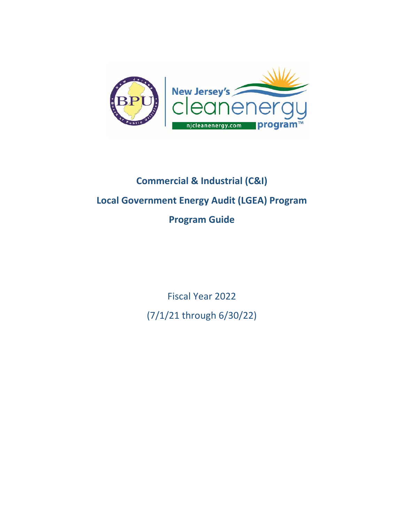

## **Commercial & Industrial (C&I) Local Government Energy Audit (LGEA) Program Program Guide**

Fiscal Year 2022 (7/1/21 through 6/30/22)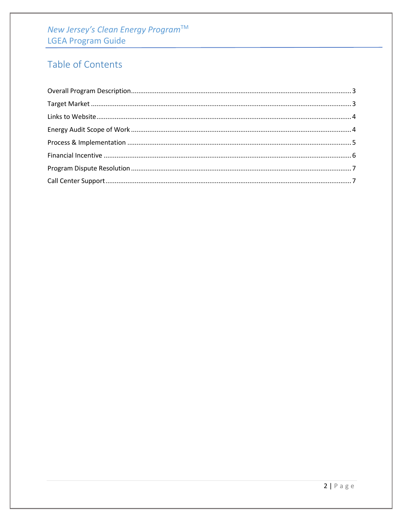# New Jersey's Clean Energy Program™<br>LGEA Program Guide

### Table of Contents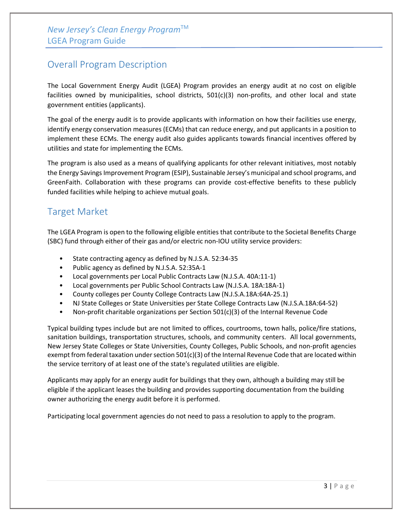#### <span id="page-2-0"></span>Overall Program Description

The Local Government Energy Audit (LGEA) Program provides an energy audit at no cost on eligible facilities owned by municipalities, school districts, 501(c)(3) non-profits, and other local and state government entities (applicants).

The goal of the energy audit is to provide applicants with information on how their facilities use energy, identify energy conservation measures (ECMs) that can reduce energy, and put applicants in a position to implement these ECMs. The energy audit also guides applicants towards financial incentives offered by utilities and state for implementing the ECMs.

The program is also used as a means of qualifying applicants for other relevant initiatives, most notably the Energy Savings Improvement Program (ESIP), Sustainable Jersey's municipal and school programs, and GreenFaith. Collaboration with these programs can provide cost-effective benefits to these publicly funded facilities while helping to achieve mutual goals.

#### <span id="page-2-1"></span>Target Market

The LGEA Program is open to the following eligible entities that contribute to the Societal Benefits Charge (SBC) fund through either of their gas and/or electric non-IOU utility service providers:

- State contracting agency as defined by N.J.S.A. 52:34-35
- Public agency as defined by N.J.S.A. 52:35A-1
- Local governments per Local Public Contracts Law (N.J.S.A. 40A:11-1)
- Local governments per Public School Contracts Law (N.J.S.A. 18A:18A-1)
- County colleges per County College Contracts Law (N.J.S.A.18A:64A-25.1)
- NJ State Colleges or State Universities per State College Contracts Law (N.J.S.A.18A:64-52)
- Non-profit charitable organizations per Section  $501(c)(3)$  of the Internal Revenue Code

Typical building types include but are not limited to offices, courtrooms, town halls, police/fire stations, sanitation buildings, transportation structures, schools, and community centers. All local governments, New Jersey State Colleges or State Universities, County Colleges, Public Schools, and non-profit agencies exempt from federal taxation under section 501(c)(3) of the Internal Revenue Code that are located within the service territory of at least one of the state's regulated utilities are eligible.

Applicants may apply for an energy audit for buildings that they own, although a building may still be eligible if the applicant leases the building and provides supporting documentation from the building owner authorizing the energy audit before it is performed.

Participating local government agencies do not need to pass a resolution to apply to the program.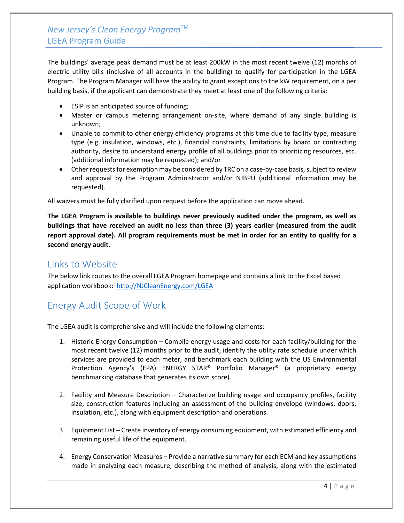#### *New Jersey's Clean Energy Program*TM LGEA Program Guide

The buildings' average peak demand must be at least 200kW in the most recent twelve (12) months of electric utility bills (inclusive of all accounts in the building) to qualify for participation in the LGEA Program. The Program Manager will have the ability to grant exceptions to the kW requirement, on a per building basis, if the applicant can demonstrate they meet at least one of the following criteria:

- ESIP is an anticipated source of funding;
- Master or campus metering arrangement on-site, where demand of any single building is unknown;
- Unable to commit to other energy efficiency programs at this time due to facility type, measure type (e.g. insulation, windows, etc.), financial constraints, limitations by board or contracting authority, desire to understand energy profile of all buildings prior to prioritizing resources, etc. (additional information may be requested); and/or
- Other requests for exemption may be considered by TRC on a case-by-case basis, subject to review and approval by the Program Administrator and/or NJBPU (additional information may be requested).

All waivers must be fully clarified upon request before the application can move ahead.

**The LGEA Program is available to buildings never previously audited under the program, as well as buildings that have received an audit no less than three (3) years earlier (measured from the audit report approval date). All program requirements must be met in order for an entity to qualify for a second energy audit.** 

#### <span id="page-3-0"></span>Links to Website

The below link routes to the overall LGEA Program homepage and contains a link to the Excel based application workbook: [http://NJCleanEnergy.com/LGEA](http://njcleanenergy.com/LGEA)

#### <span id="page-3-1"></span>Energy Audit Scope of Work

The LGEA audit is comprehensive and will include the following elements:

- 1. Historic Energy Consumption Compile energy usage and costs for each facility/building for the most recent twelve (12) months prior to the audit, identify the utility rate schedule under which services are provided to each meter, and benchmark each building with the US Environmental Protection Agency's (EPA) ENERGY STAR® Portfolio Manager® (a proprietary energy benchmarking database that generates its own score).
- 2. Facility and Measure Description Characterize building usage and occupancy profiles, facility size, construction features including an assessment of the building envelope (windows, doors, insulation, etc.), along with equipment description and operations.
- 3. Equipment List Create inventory of energy consuming equipment, with estimated efficiency and remaining useful life of the equipment.
- 4. Energy Conservation Measures Provide a narrative summary for each ECM and key assumptions made in analyzing each measure, describing the method of analysis, along with the estimated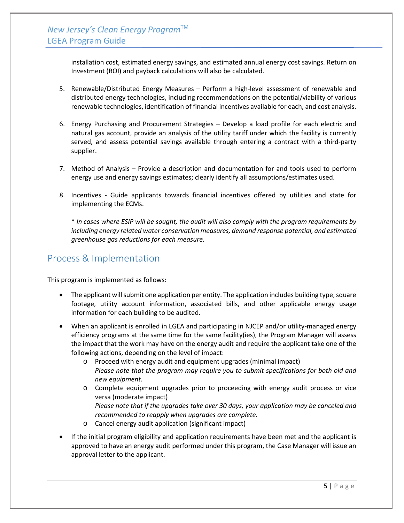*New Jersey's Clean Energy Program*TM LGEA Program Guide

> installation cost, estimated energy savings, and estimated annual energy cost savings. Return on Investment (ROI) and payback calculations will also be calculated.

- 5. Renewable/Distributed Energy Measures Perform a high-level assessment of renewable and distributed energy technologies, including recommendations on the potential/viability of various renewable technologies, identification of financial incentives available for each, and cost analysis.
- 6. Energy Purchasing and Procurement Strategies Develop a load profile for each electric and natural gas account, provide an analysis of the utility tariff under which the facility is currently served, and assess potential savings available through entering a contract with a third-party supplier.
- 7. Method of Analysis Provide a description and documentation for and tools used to perform energy use and energy savings estimates; clearly identify all assumptions/estimates used.
- 8. Incentives Guide applicants towards financial incentives offered by utilities and state for implementing the ECMs.

\* *In cases where ESIP will be sought, the audit will also comply with the program requirements by including energy related water conservation measures, demand response potential, and estimated greenhouse gas reductions for each measure.*

#### <span id="page-4-0"></span>Process & Implementation

This program is implemented as follows:

- The applicant will submit one application per entity. The application includes building type, square footage, utility account information, associated bills, and other applicable energy usage information for each building to be audited.
- When an applicant is enrolled in LGEA and participating in NJCEP and/or utility-managed energy efficiency programs at the same time for the same facility(ies), the Program Manager will assess the impact that the work may have on the energy audit and require the applicant take one of the following actions, depending on the level of impact:
	- o Proceed with energy audit and equipment upgrades (minimal impact) *Please note that the program may require you to submit specifications for both old and new equipment.*
	- o Complete equipment upgrades prior to proceeding with energy audit process or vice versa (moderate impact) *Please note that if the upgrades take over 30 days, your application may be canceled and*
	- *recommended to reapply when upgrades are complete.*
	- o Cancel energy audit application (significant impact)
- If the initial program eligibility and application requirements have been met and the applicant is approved to have an energy audit performed under this program, the Case Manager will issue an approval letter to the applicant.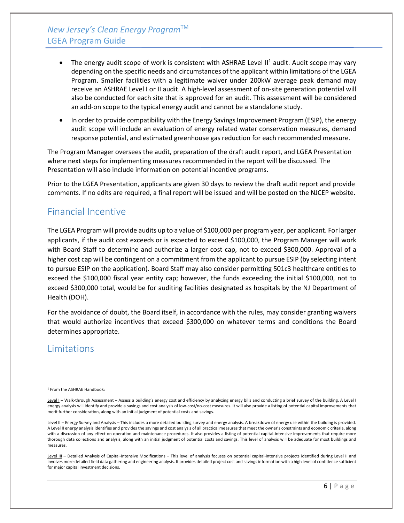- The energy audit scope of work is consistent with ASHRAE Level  $II<sup>1</sup>$  $II<sup>1</sup>$  $II<sup>1</sup>$  audit. Audit scope may vary depending on the specific needs and circumstances of the applicant within limitations of the LGEA Program. Smaller facilities with a legitimate waiver under 200kW average peak demand may receive an ASHRAE Level I or II audit. A high-level assessment of on-site generation potential will also be conducted for each site that is approved for an audit. This assessment will be considered an add-on scope to the typical energy audit and cannot be a standalone study.
- In order to provide compatibility with the Energy Savings Improvement Program (ESIP), the energy audit scope will include an evaluation of energy related water conservation measures, demand response potential, and estimated greenhouse gas reduction for each recommended measure.

The Program Manager oversees the audit, preparation of the draft audit report, and LGEA Presentation where next steps for implementing measures recommended in the report will be discussed. The Presentation will also include information on potential incentive programs.

Prior to the LGEA Presentation, applicants are given 30 days to review the draft audit report and provide comments. If no edits are required, a final report will be issued and will be posted on the NJCEP website.

#### <span id="page-5-0"></span>Financial Incentive

The LGEA Program will provide audits up to a value of \$100,000 per program year, per applicant. For larger applicants, if the audit cost exceeds or is expected to exceed \$100,000, the Program Manager will work with Board Staff to determine and authorize a larger cost cap, not to exceed \$300,000. Approval of a higher cost cap will be contingent on a commitment from the applicant to pursue ESIP (by selecting intent to pursue ESIP on the application). Board Staff may also consider permitting 501c3 healthcare entities to exceed the \$100,000 fiscal year entity cap; however, the funds exceeding the initial \$100,000, not to exceed \$300,000 total, would be for auditing facilities designated as hospitals by the NJ Department of Health (DOH).

For the avoidance of doubt, the Board itself, in accordance with the rules, may consider granting waivers that would authorize incentives that exceed \$300,000 on whatever terms and conditions the Board determines appropriate.

#### **Limitations**

<span id="page-5-1"></span><sup>1</sup> From the ASHRAE Handbook:

Level I - Walk-through Assessment - Assess a building's energy cost and efficiency by analyzing energy bills and conducting a brief survey of the building. A Level I energy analysis will identify and provide a savings and cost analysis of low-cost/no-cost measures. It will also provide a listing of potential capital improvements that merit further consideration, along with an initial judgment of potential costs and savings.

Level II - Energy Survey and Analysis - This includes a more detailed building survey and energy analysis. A breakdown of energy use within the building is provided. A Level II energy analysis identifies and provides the savings and cost analysis of all practical measures that meet the owner's constraints and economic criteria, along with a discussion of any effect on operation and maintenance procedures. It also provides a listing of potential capital-intensive improvements that require more thorough data collections and analysis, along with an initial judgment of potential costs and savings. This level of analysis will be adequate for most buildings and measures.

Level III - Detailed Analysis of Capital-Intensive Modifications - This level of analysis focuses on potential capital-intensive projects identified during Level II and involves more detailed field data gathering and engineering analysis. It provides detailed project cost and savings information with a high level of confidence sufficient for major capital investment decisions.